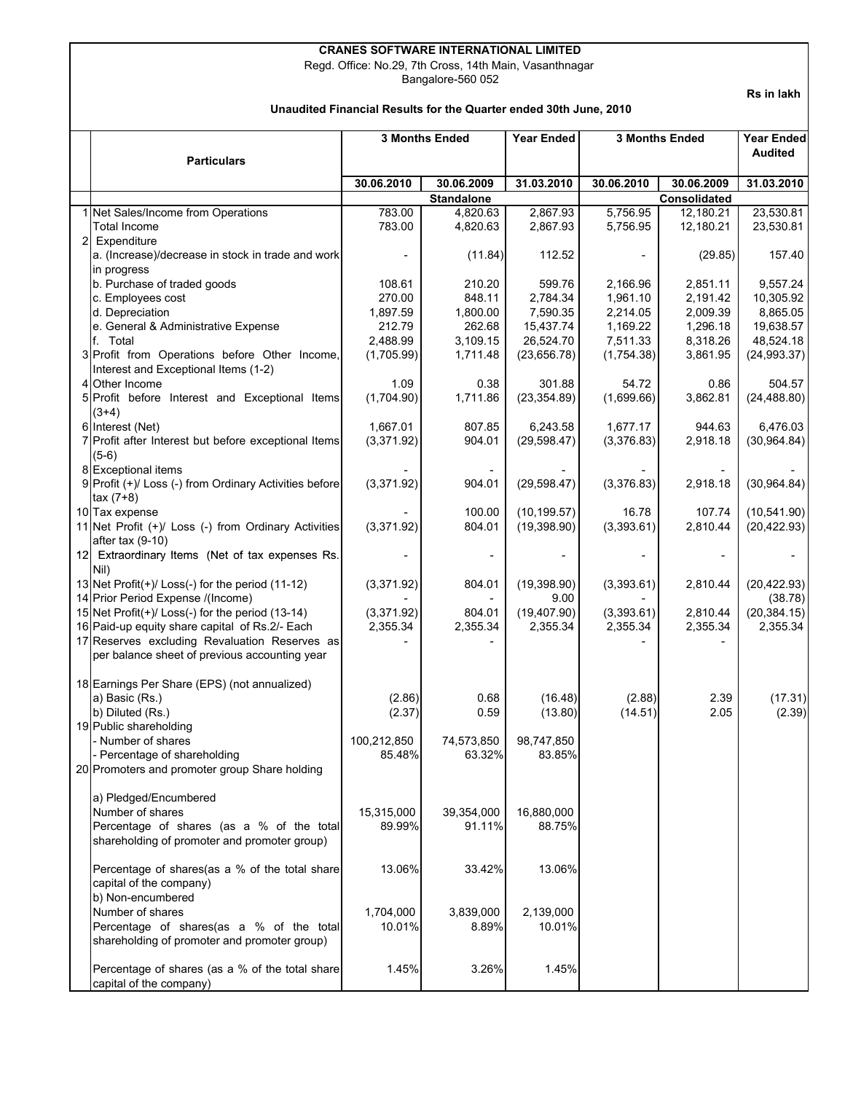## **CRANES SOFTWARE INTERNATIONAL LIMITED**

Regd. Office: No.29, 7th Cross, 14th Main, Vasanthnagar

Bangalore-560 052

**Rs in lakh**

## **Unaudited Financial Results for the Quarter ended 30th June, 2010**

 **3 Months Ended 3 Months Ended** 

**Particulars**

| <b>Year Ended</b> | <b>3 Months Ended</b>              | <b>Year Ended</b><br><b>Audited</b> |            |  |  |
|-------------------|------------------------------------|-------------------------------------|------------|--|--|
| 31.03.2010        | 30.06.2010                         | 30.06.2009                          | 31.03.2010 |  |  |
|                   | <b>Consolidated</b>                |                                     |            |  |  |
| 2 867 93          | 5 756 95<br>23.530.81<br>12 180 21 |                                     |            |  |  |

|                                                         | 30.06.2010<br>30.06.2009<br>31.03.2010 |                   | 30.06.2010<br>30.06.2009 |            | 31.03.2010   |              |
|---------------------------------------------------------|----------------------------------------|-------------------|--------------------------|------------|--------------|--------------|
|                                                         |                                        | <b>Standalone</b> |                          |            | Consolidated |              |
| Net Sales/Income from Operations                        | 783.00                                 | 4,820.63          | 2,867.93                 | 5,756.95   | 12,180.21    | 23,530.81    |
| Total Income                                            | 783.00                                 | 4,820.63          | 2,867.93                 | 5,756.95   | 12,180.21    | 23,530.81    |
| 2 Expenditure                                           |                                        |                   |                          |            |              |              |
| a. (Increase)/decrease in stock in trade and work       |                                        | (11.84)           | 112.52                   |            | (29.85)      | 157.40       |
| in progress                                             |                                        |                   |                          |            |              |              |
| b. Purchase of traded goods                             | 108.61                                 | 210.20            | 599.76                   | 2,166.96   | 2,851.11     | 9,557.24     |
| c. Employees cost                                       | 270.00                                 | 848.11            | 2,784.34                 | 1,961.10   | 2,191.42     | 10,305.92    |
| d. Depreciation                                         | 1,897.59                               | 1,800.00          | 7,590.35                 | 2.214.05   | 2,009.39     | 8,865.05     |
| e. General & Administrative Expense                     | 212.79                                 | 262.68            | 15,437.74                | 1,169.22   | 1,296.18     | 19,638.57    |
| f. Total                                                | 2,488.99                               | 3,109.15          | 26,524.70                | 7,511.33   | 8,318.26     | 48,524.18    |
| 3 Profit from Operations before Other Income,           | (1,705.99)                             | 1,711.48          | (23, 656.78)             | (1,754.38) | 3,861.95     | (24, 993.37) |
| Interest and Exceptional Items (1-2)                    |                                        |                   |                          |            |              |              |
| 4 Other Income                                          | 1.09                                   | 0.38              | 301.88                   | 54.72      | 0.86         | 504.57       |
| 5 Profit before Interest and Exceptional Items          | (1,704.90)                             | 1,711.86          | (23, 354.89)             | (1,699.66) | 3,862.81     | (24, 488.80) |
| $(3+4)$                                                 |                                        |                   |                          |            |              |              |
| 6 Interest (Net)                                        | 1,667.01                               | 807.85            | 6,243.58                 | 1,677.17   | 944.63       | 6,476.03     |
| 7 Profit after Interest but before exceptional Items    | (3,371.92)                             | 904.01            | (29, 598.47)             | (3,376.83) | 2,918.18     | (30, 964.84) |
|                                                         |                                        |                   |                          |            |              |              |
| $(5-6)$                                                 |                                        |                   |                          |            |              |              |
| 8 Exceptional items                                     |                                        |                   |                          |            |              |              |
| 9 Profit (+)/ Loss (-) from Ordinary Activities before  | (3,371.92)                             | 904.01            | (29, 598.47)             | (3,376.83) | 2,918.18     | (30, 964.84) |
| $tax(7+8)$                                              |                                        |                   |                          |            |              |              |
| 10 Tax expense                                          |                                        | 100.00            | (10, 199.57)             | 16.78      | 107.74       | (10, 541.90) |
| 11 Net Profit (+)/ Loss (-) from Ordinary Activities    | (3,371.92)                             | 804.01            | (19, 398.90)             | (3,393.61) | 2,810.44     | (20, 422.93) |
| after tax $(9-10)$                                      |                                        |                   |                          |            |              |              |
| 12 Extraordinary Items (Net of tax expenses Rs.         |                                        |                   |                          |            |              |              |
| Nil)                                                    |                                        |                   |                          |            |              |              |
| 13 Net Profit $(+)$ / Loss $(-)$ for the period (11-12) | (3,371.92)                             | 804.01            | (19, 398.90)             | (3,393.61) | 2,810.44     | (20, 422.93) |
| 14 Prior Period Expense /(Income)                       |                                        |                   | 9.00                     |            |              | (38.78)      |
| 15 Net Profit(+)/ Loss(-) for the period (13-14)        | (3,371.92)                             | 804.01            | (19, 407.90)             | (3,393.61) | 2,810.44     | (20, 384.15) |
| 16 Paid-up equity share capital of Rs.2/- Each          | 2,355.34                               | 2,355.34          | 2,355.34                 | 2,355.34   | 2,355.34     | 2,355.34     |
| 17 Reserves excluding Revaluation Reserves as           |                                        |                   |                          |            |              |              |
| per balance sheet of previous accounting year           |                                        |                   |                          |            |              |              |
|                                                         |                                        |                   |                          |            |              |              |
| 18 Earnings Per Share (EPS) (not annualized)            |                                        |                   |                          |            |              |              |
| a) Basic (Rs.)                                          | (2.86)                                 | 0.68              | (16.48)                  | (2.88)     | 2.39         | (17.31)      |
| b) Diluted (Rs.)                                        | (2.37)                                 | 0.59              | (13.80)                  | (14.51)    | 2.05         | (2.39)       |
| 19 Public shareholding                                  |                                        |                   |                          |            |              |              |
| - Number of shares                                      | 100,212,850                            | 74,573,850        | 98,747,850               |            |              |              |
| - Percentage of shareholding                            | 85.48%                                 | 63.32%            | 83.85%                   |            |              |              |
| 20 Promoters and promoter group Share holding           |                                        |                   |                          |            |              |              |
|                                                         |                                        |                   |                          |            |              |              |
|                                                         |                                        |                   |                          |            |              |              |
| a) Pledged/Encumbered                                   |                                        |                   |                          |            |              |              |
| Number of shares                                        | 15,315,000                             | 39,354,000        | 16,880,000               |            |              |              |
| Percentage of shares (as a % of the total               | 89.99%                                 | 91.11%            | 88.75%                   |            |              |              |
| shareholding of promoter and promoter group)            |                                        |                   |                          |            |              |              |
|                                                         |                                        |                   |                          |            |              |              |
| Percentage of shares(as a % of the total share          | 13.06%                                 | 33.42%            | 13.06%                   |            |              |              |
| capital of the company)                                 |                                        |                   |                          |            |              |              |
| b) Non-encumbered                                       |                                        |                   |                          |            |              |              |
| Number of shares                                        | 1,704,000                              | 3,839,000         | 2,139,000                |            |              |              |
| Percentage of shares(as a % of the total                | 10.01%                                 | 8.89%             | 10.01%                   |            |              |              |
| shareholding of promoter and promoter group)            |                                        |                   |                          |            |              |              |
|                                                         |                                        |                   |                          |            |              |              |
| Percentage of shares (as a % of the total share         | 1.45%                                  | 3.26%             | 1.45%                    |            |              |              |
| capital of the company)                                 |                                        |                   |                          |            |              |              |
|                                                         |                                        |                   |                          |            |              |              |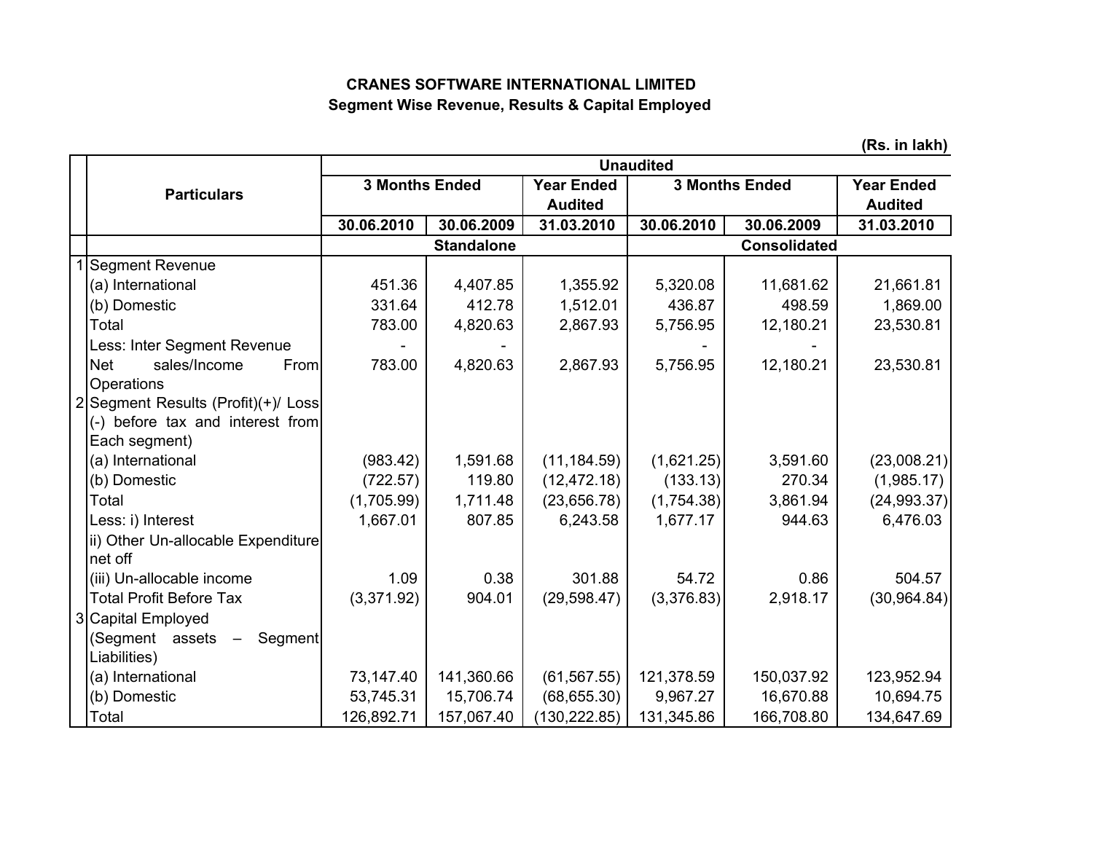## **CRANES SOFTWARE INTERNATIONAL LIMITED Segment Wise Revenue, Results & Capital Employed**

|                                                  | ן ו/ס. ווו ופתוון<br><b>Unaudited</b> |                   |                                     |            |                       |                                     |
|--------------------------------------------------|---------------------------------------|-------------------|-------------------------------------|------------|-----------------------|-------------------------------------|
| <b>Particulars</b>                               | <b>3 Months Ended</b>                 |                   | <b>Year Ended</b><br><b>Audited</b> |            | <b>3 Months Ended</b> | <b>Year Ended</b><br><b>Audited</b> |
|                                                  | 30.06.2010                            | 30.06.2009        | 31.03.2010                          | 30.06.2010 | 30.06.2009            | 31.03.2010                          |
|                                                  |                                       | <b>Standalone</b> |                                     |            | <b>Consolidated</b>   |                                     |
| <b>Segment Revenue</b>                           |                                       |                   |                                     |            |                       |                                     |
| (a) International                                | 451.36                                | 4,407.85          | 1,355.92                            | 5,320.08   | 11,681.62             | 21,661.81                           |
| (b) Domestic                                     | 331.64                                | 412.78            | 1,512.01                            | 436.87     | 498.59                | 1,869.00                            |
| Total                                            | 783.00                                | 4,820.63          | 2,867.93                            | 5,756.95   | 12,180.21             | 23,530.81                           |
| Less: Inter Segment Revenue                      |                                       |                   |                                     |            |                       |                                     |
| sales/Income<br><b>Net</b><br>From<br>Operations | 783.00                                | 4,820.63          | 2,867.93                            | 5,756.95   | 12,180.21             | 23,530.81                           |
| 2 Segment Results (Profit)(+)/ Loss              |                                       |                   |                                     |            |                       |                                     |
| (-) before tax and interest from                 |                                       |                   |                                     |            |                       |                                     |
| Each segment)                                    |                                       |                   |                                     |            |                       |                                     |
| (a) International                                | (983.42)                              | 1,591.68          | (11, 184.59)                        | (1,621.25) | 3,591.60              | (23,008.21)                         |
| (b) Domestic                                     | (722.57)                              | 119.80            | (12, 472.18)                        | (133.13)   | 270.34                | (1,985.17)                          |
| Total                                            | (1,705.99)                            | 1,711.48          | (23,656.78)                         | (1,754.38) | 3,861.94              | (24, 993.37)                        |
| Less: i) Interest                                | 1,667.01                              | 807.85            | 6,243.58                            | 1,677.17   | 944.63                | 6,476.03                            |
| ii) Other Un-allocable Expenditure               |                                       |                   |                                     |            |                       |                                     |
| net off                                          |                                       |                   |                                     |            |                       |                                     |
| (iii) Un-allocable income                        | 1.09                                  | 0.38              | 301.88                              | 54.72      | 0.86                  | 504.57                              |
| <b>Total Profit Before Tax</b>                   | (3,371.92)                            | 904.01            | (29, 598.47)                        | (3,376.83) | 2,918.17              | (30, 964.84)                        |
| 3 Capital Employed                               |                                       |                   |                                     |            |                       |                                     |
| (Segment assets -<br>Segment                     |                                       |                   |                                     |            |                       |                                     |
| Liabilities)                                     |                                       |                   |                                     |            |                       |                                     |
| (a) International                                | 73,147.40                             | 141,360.66        | (61, 567.55)                        | 121,378.59 | 150,037.92            | 123,952.94                          |
| (b) Domestic                                     | 53,745.31                             | 15,706.74         | (68, 655.30)                        | 9,967.27   | 16,670.88             | 10,694.75                           |
| Total                                            | 126,892.71                            | 157,067.40        | (130, 222.85)                       | 131,345.86 | 166,708.80            | 134,647.69                          |

**(Rs. in lakh)**